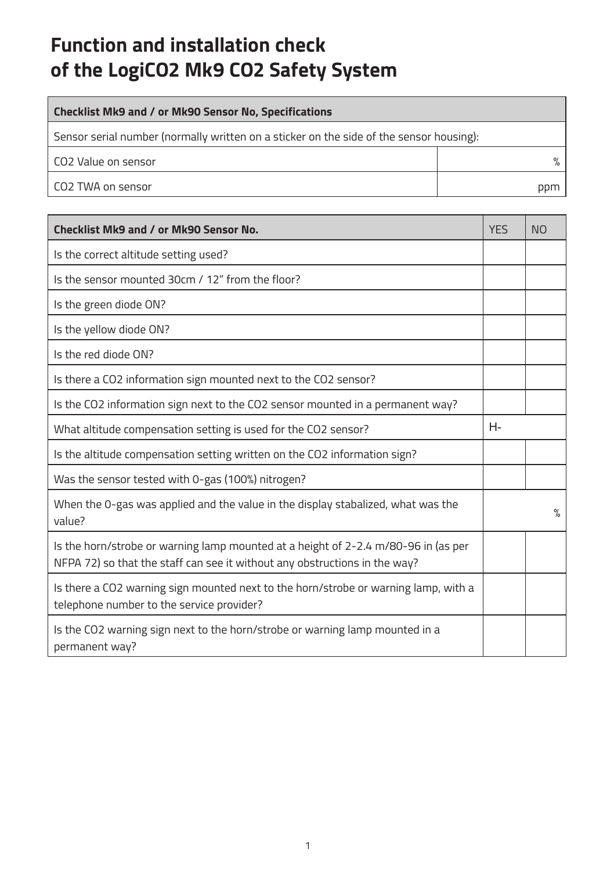## **Function and installation check of the LogiCO2 Mk9 CO2 Safety System**

| <b>Checklist Mk9 and / or Mk90 Sensor No, Specifications</b>                            |     |  |
|-----------------------------------------------------------------------------------------|-----|--|
| Sensor serial number (normally written on a sticker on the side of the sensor housing): |     |  |
| l CO2 Value on sensor                                                                   |     |  |
| l CO2 TWA on sensor                                                                     | ppm |  |

| Checklist Mk9 and / or Mk90 Sensor No.                                                                                                                           | YF <sub>S</sub> | N <sub>O</sub> |
|------------------------------------------------------------------------------------------------------------------------------------------------------------------|-----------------|----------------|
| Is the correct altitude setting used?                                                                                                                            |                 |                |
| Is the sensor mounted 30cm / 12" from the floor?                                                                                                                 |                 |                |
| Is the green diode ON?                                                                                                                                           |                 |                |
| Is the yellow diode ON?                                                                                                                                          |                 |                |
| Is the red diode ON?                                                                                                                                             |                 |                |
| Is there a CO2 information sign mounted next to the CO2 sensor?                                                                                                  |                 |                |
| Is the CO2 information sign next to the CO2 sensor mounted in a permanent way?                                                                                   |                 |                |
| What altitude compensation setting is used for the CO2 sensor?                                                                                                   | Н-              |                |
| Is the altitude compensation setting written on the CO2 information sign?                                                                                        |                 |                |
| Was the sensor tested with 0-gas (100%) nitrogen?                                                                                                                |                 |                |
| When the 0-gas was applied and the value in the display stabalized, what was the<br>value?                                                                       |                 | $\frac{9}{6}$  |
| Is the horn/strobe or warning lamp mounted at a height of 2-2.4 m/80-96 in (as per<br>NFPA 72) so that the staff can see it without any obstructions in the way? |                 |                |
| Is there a CO2 warning sign mounted next to the horn/strobe or warning lamp, with a<br>telephone number to the service provider?                                 |                 |                |
| Is the CO2 warning sign next to the horn/strobe or warning lamp mounted in a<br>permanent way?                                                                   |                 |                |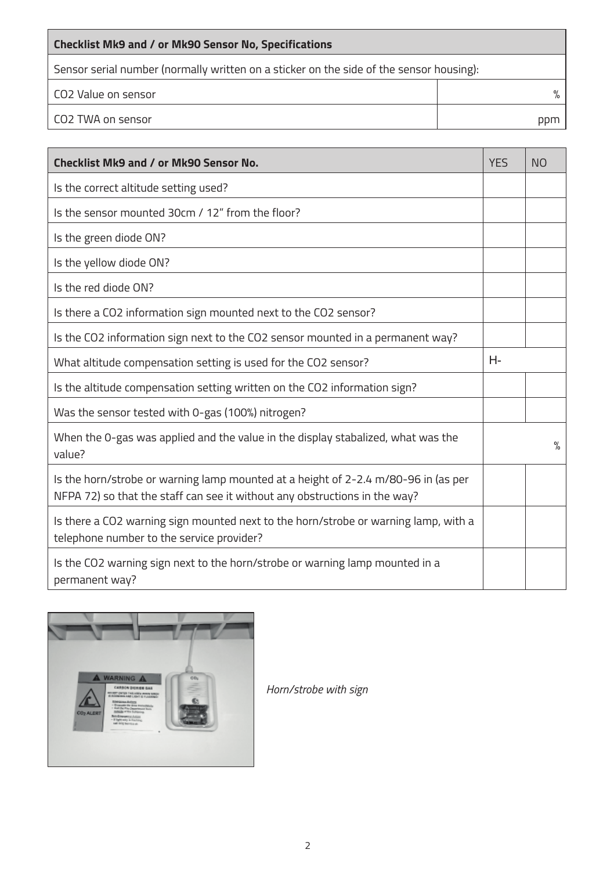| Checklist Mk9 and / or Mk90 Sensor No, Specifications                                   |     |  |
|-----------------------------------------------------------------------------------------|-----|--|
| Sensor serial number (normally written on a sticker on the side of the sensor housing): |     |  |
| l CO2 Value on sensor                                                                   |     |  |
| l CO2 TWA on sensor                                                                     | ppm |  |

| Checklist Mk9 and / or Mk90 Sensor No.                                                                                                                           | <b>YES</b> | <b>NO</b>     |
|------------------------------------------------------------------------------------------------------------------------------------------------------------------|------------|---------------|
| Is the correct altitude setting used?                                                                                                                            |            |               |
| Is the sensor mounted 30cm / 12" from the floor?                                                                                                                 |            |               |
| Is the green diode ON?                                                                                                                                           |            |               |
| Is the yellow diode ON?                                                                                                                                          |            |               |
| Is the red diode ON?                                                                                                                                             |            |               |
| Is there a CO2 information sign mounted next to the CO2 sensor?                                                                                                  |            |               |
| Is the CO2 information sign next to the CO2 sensor mounted in a permanent way?                                                                                   |            |               |
| What altitude compensation setting is used for the CO2 sensor?                                                                                                   | Н-         |               |
| Is the altitude compensation setting written on the CO2 information sign?                                                                                        |            |               |
| Was the sensor tested with 0-gas (100%) nitrogen?                                                                                                                |            |               |
| When the 0-gas was applied and the value in the display stabalized, what was the<br>value?                                                                       |            | $\frac{9}{6}$ |
| Is the horn/strobe or warning lamp mounted at a height of 2-2.4 m/80-96 in (as per<br>NFPA 72) so that the staff can see it without any obstructions in the way? |            |               |
| Is there a CO2 warning sign mounted next to the horn/strobe or warning lamp, with a<br>telephone number to the service provider?                                 |            |               |
| Is the CO2 warning sign next to the horn/strobe or warning lamp mounted in a<br>permanent way?                                                                   |            |               |



*Horn/strobe with sign*